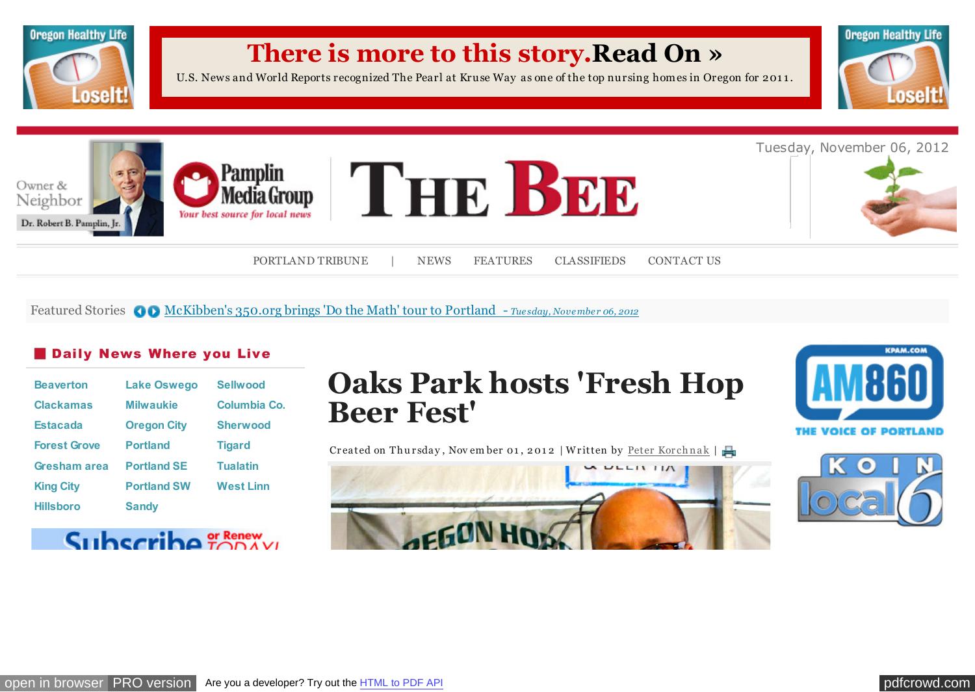

Featured Stories **OD** [McKibben's 350.org brings 'Do the Math' tour to Portland -](http://portlandtribune.com/pt/9-news/122576-mckibbens-350org-brings-do-the-math-tour-to-portland) *Tuesday, November 06, 2012* 

## **Daily News Where you Live**

| <b>Beaverton</b>    | <b>Lake Oswego</b> | <b>Sellwood</b>  |
|---------------------|--------------------|------------------|
| <b>Clackamas</b>    | <b>Milwaukie</b>   | Columbia Co.     |
| <b>Estacada</b>     | <b>Oregon City</b> | <b>Sherwood</b>  |
| <b>Forest Grove</b> | <b>Portland</b>    | <b>Tigard</b>    |
| Gresham area        | <b>Portland SE</b> | <b>Tualatin</b>  |
| <b>King City</b>    | <b>Portland SW</b> | <b>West Linn</b> |
| <b>Hillsboro</b>    | <b>Sandy</b>       |                  |

## Subscribe TODAVI

# **Oaks Park hosts 'Fresh Hop Beer Fest'**

Created on Thursday, November 01, 2012 | Written by Peter Korchnak |





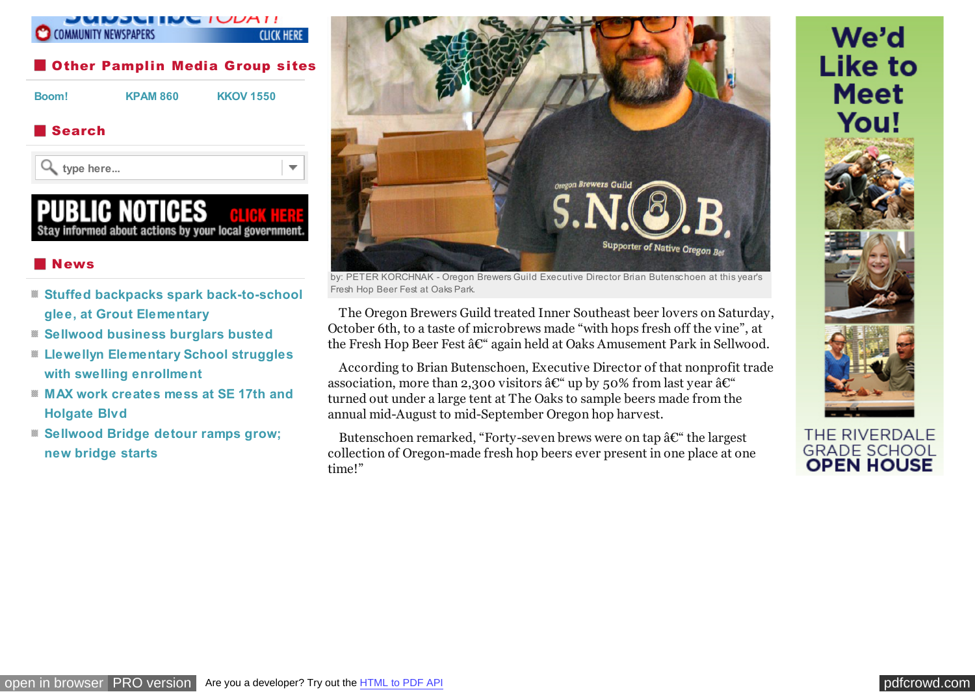

#### **Search**

**type here...**



## IG NOTIGES Stay informed about actions by your local government.

#### **News**

- **[Stuffed backpacks spark back-to-school](http://portlandtribune.com/sb/74-news/116050-stuffed-backpacks-spark-back-to-school-glee-at-grout-elementary-) glee, at Grout Elementary**
- **[Sellwood business burglars busted](http://portlandtribune.com/sb/74-news/122305-sellwood-business-burglars-busted)**
- **[Llewellyn Elementary School struggles](http://portlandtribune.com/sb/74-news/122306-llewellyn-elementary-school-struggles-with-swelling-enrollment-) with swelling enrollment**
- **[MAX work creates mess at SE 17th and](http://portlandtribune.com/sb/74-news/122312-max-work-creates-mess-at-se-17th-and-holgate-blvd) Holgate Blvd**
- **[Sellwood Bridge detour ramps grow;](http://portlandtribune.com/sb/74-news/122307-sellwood-bridge-detour-ramps-grow;-new-bridge-starts-) new bridge starts**



by: PETER KORCHNAK - Oregon Brewers Guild Executive Director Brian Butenschoen at this year's Fresh Hop Beer Fest at Oaks Park.

The Oregon Brewers Guild treated Inner Southeast beer lovers on Saturday, October 6th, to a taste of microbrews made "with hops fresh off the vine", at the Fresh Hop Beer Fest  $\hat{a} \in \hat{C}^*$  again held at Oaks Amusement Park in Sellwood.

According to Brian Butenschoen, Executive Director of that nonprofit trade association, more than 2,300 visitors  $\hat{a} \mathcal{C}^*$  up by 50% from last year  $\hat{a} \mathcal{C}^*$ turned out under a large tent at The Oaks to sample beers made from the annual mid-August to mid-September Oregon hop harvest.

Butenschoen remarked, "Forty-seven brews were on tap  $\hat{a}\mathbf{\mathcal{C}}$ " the largest collection of Oregon-made fresh hop beers ever present in one place at one time!"



THE RIVERDALE **GRADE SCHOOL OPEN HOUSE**